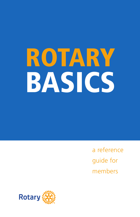# ROTARY BASICS

a reference guide for members

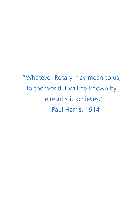"Whatever Rotary may mean to us, to the world it will be known by the results it achieves." — Paul Harris, 1914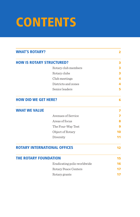# **CONTENTS**

| <b>WHAT'S ROTARY?</b>            |                                     | 2  |
|----------------------------------|-------------------------------------|----|
| <b>HOW IS ROTARY STRUCTURED?</b> |                                     | з  |
|                                  | Rotary club members                 | з  |
|                                  | Rotary clubs                        | 3  |
|                                  | Club meetings                       | 4  |
|                                  | Districts and zones                 | 4  |
|                                  | Senior leaders                      | 5  |
| <b>HOW DID WE GET HERE?</b>      |                                     | 6  |
| <b>WHAT WE VALUE</b>             |                                     | 7  |
|                                  | Avenues of Service                  | 7  |
|                                  | Areas of focus                      | Զ  |
|                                  | The Four-Way Test                   | 9  |
|                                  | Object of Rotary                    | 10 |
|                                  | Diversity                           | 11 |
|                                  | <b>ROTARY INTERNATIONAL OFFICES</b> | 12 |
| <b>THE ROTARY FOUNDATION</b>     |                                     | 15 |
|                                  | Eradicating polio worldwide         | 16 |
|                                  | Rotary Peace Centers                | 17 |
|                                  | Rotary grants                       | 17 |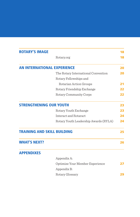| <b>ROTARY'S IMAGE</b>              |                                       | 18 |
|------------------------------------|---------------------------------------|----|
|                                    | Rotary.org                            | 18 |
| <b>AN INTERNATIONAL EXPERIENCE</b> |                                       | 20 |
|                                    | The Rotary International Convention   | 20 |
|                                    | Rotary Fellowships and                |    |
|                                    | Rotarian Action Groups                | 21 |
|                                    | Rotary Friendship Exchange            | 22 |
|                                    | Rotary Community Corps                | 22 |
| <b>STRENGTHENING OUR YOUTH</b>     |                                       | 23 |
|                                    | Rotary Youth Exchange                 | 23 |
|                                    | Interact and Rotaract                 | 24 |
|                                    | Rotary Youth Leadership Awards (RYLA) | 24 |
| <b>TRAINING AND SKILL BUILDING</b> |                                       | 25 |
| <b>WHAT'S NEXT?</b>                |                                       | 26 |
| <b>APPENDIXES</b>                  |                                       |    |
|                                    | Appendix A:                           |    |
|                                    | Optimize Your Member Experience       | 27 |
|                                    | Appendix B:                           |    |
|                                    | Rotary Glossary                       | 29 |
|                                    |                                       |    |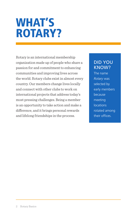### WHAT'S ROTARY?

Rotary is an international membership organization made up of people who share a passion for and commitment to enhancing communities and improving lives across the world. Rotary clubs exist in almost every country. Our members change lives locally and connect with other clubs to work on international projects that address today's most pressing challenges. Being a member is an opportunity to take action and make a difference, and it brings personal rewards and lifelong friendships in the process.

#### DID YOU KNOW?

The name *Rotary* was selected by early members because meeting **locations** rotated among their offices.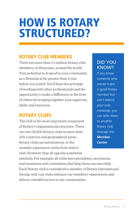### HOW IS ROTARY STRUCTURED?

#### ROTARY CLUB MEMBERS

There are more than 1.2 million Rotary club members, or Rotarians, around the world. Your potential to do good in your community as a Rotarian is far greater than it was before you joined. You'll have the privilege of working with other professionals and the opportunity to make a difference in the lives of others by bringing together your expertise, skills, and resources.

#### ROTARY CLUBS

The club is the most important component of Rotary's organizational structure. There are over 35,000 Rotary clubs in more than 220 countries and geographical areas. Rotary clubs are autonomous, so the member experience varies from club to club. However, they all operate somewhat

#### DID YOU KNOW?

If you know someone who would make a good Rotary member but can't attend your club meetings, you can refer them to another Rotary club through the **[Member](https://my.rotary.org/en/member-center)  [Center](https://my.rotary.org/en/member-center)**.

similarly. For example, all clubs have presidents, secretaries, and treasurers and committees that help them run smoothly. Each Rotary club is considered a member of Rotary International. Strong, well-run clubs enhance our members' experiences and deliver valuable service to our communities.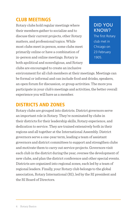#### CLUB MEETINGS

Rotary clubs hold regular meetings where their members gather to socialize and to discuss their current projects, other Rotary matters, and professional topics. While most clubs meet in person, some clubs meet primarily online or have a combination of in-person and online meetings. Rotary is both apolitical and nonreligious, and Rotary clubs are encouraged to create an inclusive

#### DID YOU KNOW?

The first Rotary club met in Chicago on 23 February 1905.

environment for all club members at their meetings. Meetings can be formal or informal and can include food and drinks, speakers, an open forum for discussion, or group activities. The more you participate in your club's meetings and activities, the better overall experience you will have as a member.

#### DISTRICTS AND ZONES

Rotary clubs are grouped into districts. District governors serve an important role in Rotary. They're nominated by clubs in their districts for their leadership skills, Rotary experience, and dedication to service. They are trained extensively both in their regions and all together at the International Assembly. District governors serve a one-year term, leading a team of assistant governors and district committees to support and strengthen clubs and motivate them to carry out service projects. Governors visit each club in the district during the year, oversee the development of new clubs, and plan the district conference and other special events. Districts are organized into regional zones, each led by a team of regional leaders. Finally, your Rotary club belongs to the global association, Rotary International (RI), led by the RI president and the RI Board of Directors.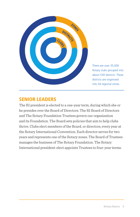

There are over 35,000 Rotary clubs grouped into about 530 districts. These districts are organized into 34 regional zones.

#### SENIOR LEADERS

The RI president is elected to a one-year term, during which she or he presides over the Board of Directors. The RI Board of Directors and The Rotary Foundation Trustees govern our organization and its Foundation. The Board sets policies that aim to help clubs thrive. Clubs elect members of the Board, or directors, every year at the Rotary International Convention. Each director serves for two years and represents one of the Rotary zones. The Board of Trustees manages the business of The Rotary Foundation. The Rotary International president-elect appoints Trustees to four-year terms.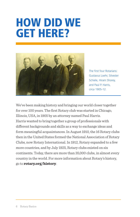### HOW DID WE GET HERE?



The first four Rotarians: Gustavus Loehr, Silvester Schiele, Hiram Shorey, and Paul P. Harris, circa 1905-12.

We've been making history and bringing our world closer together for over 100 years. The first Rotary club was started in Chicago, Illinois, USA, in 1905 by an attorney named Paul Harris. Harris wanted to bring together a group of professionals with different backgrounds and skills as a way to exchange ideas and form meaningful acquaintances. In August 1910, the 16 Rotary clubs then in the United States formed the National Association of Rotary Clubs, now Rotary International. In 1912, Rotary expanded to a few more countries, and by July 1925, Rotary clubs existed on six continents. Today, there are more than 35,000 clubs, in almost every country in the world. For more information about Rotary's history, go to **[rotary.org/history](http://rotary.org/history)**.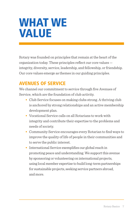### WHAT WE VALUE

Rotary was founded on principles that remain at the heart of the organization today. These principles reflect our core values integrity, diversity, service, leadership, and fellowship, or friendship. Our core values emerge as themes in our guiding principles.

#### AVENUES OF SERVICE

We channel our commitment to service through five Avenues of Service, which are the foundation of club activity.

- Club Service focuses on making clubs strong. A thriving club is anchored by strong relationships and an active membership development plan.
- Vocational Service calls on all Rotarians to work with integrity and contribute their expertise to the problems and needs of society.
- Community Service encourages every Rotarian to find ways to improve the quality of life of people in their communities and to serve the public interest.
- International Service exemplifies our global reach in promoting peace and understanding. We support this avenue by sponsoring or volunteering on international projects, using local member expertise to build long-term partnerships for sustainable projects, seeking service partners abroad, and more.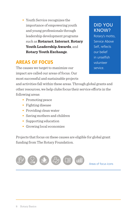**•** Youth Service recognizes the importance of empowering youth and young professionals through leadership development programs such as **[Rotaract](https://my.rotary.org/en/exchange-ideas/club-connections/rotaract-clubs)**, **[Interact](https://my.rotary.org/en/exchange-ideas/club-connections/interact-clubs)**, **[Rotary](https://my.rotary.org/en/take-action/empower-leaders/organize-ryla-event)  [Youth Leadership Awards](https://my.rotary.org/en/take-action/empower-leaders/organize-ryla-event)**, and **[Rotary Youth Exchange](https://my.rotary.org/en/take-action/empower-leaders/start-exchange)**.

#### AREAS OF FOCUS

The causes we target to maximize our impact are called our areas of focus. Our most successful and sustainable projects

and activities fall within these areas. Through global grants and other resources, we help clubs focus their service efforts in the following areas:

- Promoting peace
- Fighting disease
- Providing clean water
- Saving mothers and children
- Supporting education
- Growing local economies

Projects that focus on these causes are eligible for global grant funding from The Rotary Foundation.



#### DID YOU KNOW?

Rotary's motto, Service Above Self, reflects our belief in unselfish volunteer service.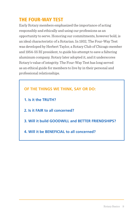#### THE FOUR-WAY TEST

Early Rotary members emphasized the importance of acting responsibly and ethically and using our professions as an opportunity to serve. Honoring our commitments, however bold, is an ideal characteristic of a Rotarian. In 1932, The Four-Way Test was developed by Herbert Taylor, a Rotary Club of Chicago member and 1954-55 RI president, to guide his attempt to save a faltering aluminum company. Rotary later adopted it, and it underscores Rotary's value of integrity. The Four-Way Test has long served as an ethical guide for members to live by in their personal and professional relationships.

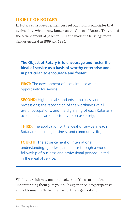#### OBJECT OF ROTARY

In Rotary's first decade, members set out guiding principles that evolved into what is now known as the Object of Rotary. They added the advancement of peace in 1921 and made the language more gender-neutral in 1989 and 1995.

**The Object of Rotary is to encourage and foster the ideal of service as a basis of worthy enterprise and, in particular, to encourage and foster:** 

**FIRST:** The development of acquaintance as an opportunity for service;

**SECOND:** High ethical standards in business and professions; the recognition of the worthiness of all useful occupations; and the dignifying of each Rotarian's occupation as an opportunity to serve society;

**THIRD:** The application of the ideal of service in each Rotarian's personal, business, and community life;

**FOURTH:** The advancement of international understanding, goodwill, and peace through a world fellowship of business and professional persons united in the ideal of service.

While your club may not emphasize all of these principles, understanding them puts your club experience into perspective and adds meaning to being a part of this organization.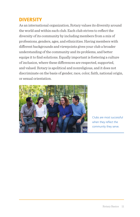#### **DIVERSITY**

As an international organization, Rotary values its diversity around the world and within each club. Each club strives to reflect the diversity of its community by including members from a mix of professions, genders, ages, and ethnicities. Having members with different backgrounds and viewpoints gives your club a broader understanding of the community and its problems, and better equips it to find solutions. Equally important is fostering a culture of inclusion, where these differences are respected, supported, and valued. Rotary is apolitical and nonreligious, and it does not discriminate on the basis of gender, race, color, faith, national origin, or sexual orientation.



Clubs are most successful when they reflect the community they serve.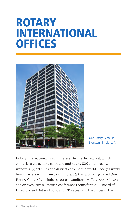### ROTARY INTERNATIONAL **OFFICES**



One Rotary Center in Evanston, Illinois, USA

Rotary International is administered by the Secretariat, which comprises the general secretary and nearly 800 employees who work to support clubs and districts around the world. Rotary's world headquarters is in Evanston, Illinois, USA, in a building called One Rotary Center. It includes a 190-seat auditorium, Rotary's archives, and an executive suite with conference rooms for the RI Board of Directors and Rotary Foundation Trustees and the offices of the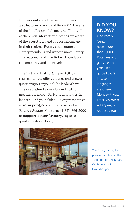RI president and other senior officers. It also features a replica of Room 711, the site of the first Rotary club meeting. The staff at the seven international offices are a part of the Secretariat and support Rotarians in their regions. Rotary staff support Rotary members and work to make Rotary International and The Rotary Foundation run smoothly and effectively.

The Club and District Support (CDS) representatives offer guidance and answer questions you or your club's leaders have. They also attend some club and district meetings to meet with Rotarians and train leaders. Find your club's CDS representative at **[rotary.org/cds](https://my.rotary.org/en/contact/representatives)**. You can also contact Rotary's Support Center at +1-847-866-3000 or **[supportcenter@rotary.org](mailto:supportcenter@rotary.org)** to ask questions about Rotary.

#### DID YOU KNOW?

One Rotary Center hosts more than 2,000 Rotarians and guests each year. Free guided tours in several **languages** are offered Monday-Friday. Email **visitors@ rotary.org** to request a tour.



The Rotary International president's office on the 18th floor of One Rotary Center overlooks Lake Michigan.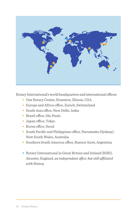

Rotary International's world headquarters and international offices:

- One Rotary Center, Evanston, Illinois, USA
- Europe and Africa office, Zurich, Switzerland
- South Asia office, New Delhi, India
- Brazil office, São Paulo
- Japan office, Tokyo
- Korea office, Seoul
- South Pacific and Philippines office, Parramatta (Sydney), New South Wales, Australia
- Southern South America office, Buenos Aires, Argentina
- **•** Rotary International in Great Britain and Ireland (RIBI), Alcester, England, *an independant office, but still affiliated with Rotary*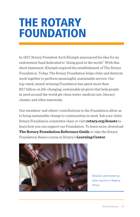### THE ROTARY FOUNDATION

In 1917, Rotary President Arch Klumph announced his idea for an endowment fund dedicated to "doing good in the world." With this short statement, Klumph inspired the establishment of The Rotary Foundation. Today, The Rotary Foundation helps clubs and districts work together to perform meaningful, sustainable service. Our top-rated, award-winning Foundation has spent more than \$3.7 billion on life-changing, sustainable projects that help people in need around the world get clean water, medical care, literacy classes, and other essentials.

Our members' and others' contributions to the Foundation allow us to bring sustainable change to communities in need. Ask your club's Rotary Foundation committee chair or visit **[rotary.org/donate](https://www.rotary.org/donate)** to learn how you can support our Foundation. To learn more, download **[The Rotary Foundation Reference Guide](https://www.rotary.org/myrotary/en/document/rotary-foundation-reference-guide)** or take the Rotary Foundation Basics course in Rotary's **[Learning Center](http://learn.rotary.org/Pages/Catalog/CourseCatalog.aspx)**.



Rotarian administering polio vaccine in Nigeria, Africa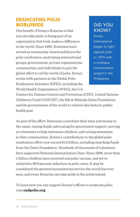#### ERADICATING POLIO **WORLDWIDE**

One benefit of being a Rotarian is that you can take pride in being part of an organization that truly makes a difference in the world. Since 1985, Rotarians have served as community-based mobilizers for polio eradication, motivating international groups, governments, private organizations, communities, and individuals to join the global effort to rid the world of polio. Rotary works with partners in the Global Polio Eradication Initiative (GPEI), including the World Health Organization (WHO), the U.S.

#### DID YOU KNOW?

**Rotary** International began its fight against polio in 1979 with a multiyear immunization project in the Philippines.

Centers for Disease Control and Prevention (CDC), United Nations Children's Fund (UNICEF), the Bill & Melinda Gates Foundation, and the governments of the world to achieve this historic public health goal.

As part of the effort, Rotarians contribute their time and money to the cause, raising funds, advocating for government support, serving as volunteers to help immunize children, and raising awareness in their communities. Rotary's contributions to the global polio eradication effort now exceed \$1.6 billion, including matching funds from the Gates Foundation. Hundreds of thousands of volunteers have supported National Immunization Days. Since 1988, more than 2 billion children have received oral polio vaccine, and we've achieved a 99.9 percent reduction in polio cases. It may be considered the greatest humanitarian service the world has ever seen, and every Rotarian can take pride in the achievement.

To learn how you can support Rotary's efforts to eradicate polio, visit **[endpolio.org](http://www.endpolio.org/)**.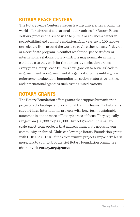#### ROTARY PEACE CENTERS

The Rotary Peace Centers at seven leading universities around the world offer advanced educational opportunities for Rotary Peace Fellows, professionals who wish to pursue or advance a career in peacebuilding and conflict resolution. Each year, up to 100 fellows are selected from around the world to begin either a master's degree or a certificate program in conflict resolution, peace studies, or international relations. Rotary districts may nominate as many candidates as they wish for the competitive selection process every year. Rotary Peace Fellows have gone on to serve as leaders in government, nongovernmental organizations, the military, law enforcement, education, humanitarian action, restorative justice, and international agencies such as the United Nations.

#### ROTARY GRANTS

The Rotary Foundation offers grants that support humanitarian projects, scholarships, and vocational training teams. Global grants support large international projects with long-term, sustainable outcomes in one or more of Rotary's areas of focus. They typically range from \$30,000 to \$200,000. District grants fund smallerscale, short-term projects that address immediate needs in your community or abroad. Clubs can leverage Rotary Foundation grants with DDF and SHARE funds to maximize projects' impact. To learn more, talk to your club or district Rotary Foundation committee chair or visit **[rotary.org/grants](https://www.rotary.org/en/our-programs/grants)**.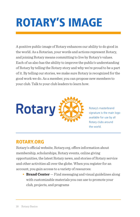# ROTARY'S IMAGE

A positive public image of Rotary enhances our ability to do good in the world. As a Rotarian, your words and actions represent Rotary, and joining Rotary means committing to live by Rotary's values. Each of us also has the ability to improve the public's understanding of Rotary by telling the Rotary story and why we're proud to be a part of it. By telling our stories, we make sure Rotary is recognized for the good work we do. As a member, you can propose new members to your club. Talk to your club leaders to learn how.



Rotary's masterbrand signature is the main logo available for use by all Rotary clubs around the world.

#### ROTARY.ORG

Rotary's official website, Rotary.org, offers information about membership, scholarships, Rotary events, online giving opportunities, the latest Rotary news, and stories of Rotary service and other activities all over the globe. When you register for an account, you gain access to a variety of resources:

**• [Brand Center](https://my.rotary.org/en/user/login?destination=/secure/application/136?deep-link=https%3A//brandcenter.rotary.org/en-GB)** — Find messaging and visual guidelines along with customizable materials you can use to promote your club, projects, and programs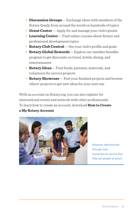- **• [Discussion Groups](https://my.rotary.org/en/exchange-ideas/groups)** Exchange ideas with members of the Rotary family from around the world on hundreds of topics
- **Grant Center** Apply for and manage your club's grants
- **• [Learning Center](http://learn.rotary.org)** Find online courses about Rotary and professional development topics
- **• [Rotary Club Central](https://my.rotary.org/en/secure/13301)** See your club's profile and goals
- **• [Rotary Global Rewards](https://my.rotary.org/en/member-center/rotary-global-rewards/offers)** Explore our member benefits program to get discounts on travel, hotels, dining, and entertainment
- **• [Rotary Ideas](https://my.rotary.org/en/secure/15486)** Find funds, partners, materials, and volunteers for service projects
- **• [Rotary Showcase](https://my.rotary.org/en/secure/showcase)** Post your finished projects and browse others' projects to get new ideas for your next one

With an account on Rotary.org, you can also register for international events and network with other professionals. To learn how to create an account, download **[How to Create](https://my.rotary.org/en/document/how-create-my-rotary-account)  [a My Rotary Account](https://my.rotary.org/en/document/how-create-my-rotary-account)**.



Rotarians demonstrate through their humanitarian service that they are people of action.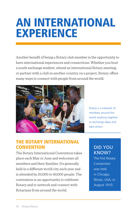### AN INTERNATIONAL EXPERIENCE

Another benefit of being a Rotary club member is the opportunity to have international experiences and connections. Whether you host a youth exchange student, attend an international Rotary meeting, or partner with a club in another country on a project, Rotary offers many ways to connect with people from around the world.



Rotary is a network of members around the world working together to exchange ideas and take action.

#### THE ROTARY INTERNATIONAL **CONVENTION**

The Rotary International Convention takes place each May or June and welcomes all members and their families. It's generally held in a different world city each year and is attended by 20,000 to 40,000 people. The convention is an opportunity to celebrate Rotary and to network and connect with Rotarians from around the world.

#### DID YOU KNOW?

The first Rotary Convention was held in Chicago, Illinois, USA, in August 1910.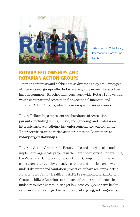

Attendees at 2016 Rotary International Convention, Korea

#### ROTARY FELLOWSHIPS AND ROTARIAN ACTION GROUPS

Rotarians' interests and hobbies are as diverse as they are. Two types of international groups offer Rotarians ways to pursue interests they have in common with other members worldwide: Rotary Fellowships, which center around recreational or vocational interests, and Rotarian Action Groups, which focus on specific service areas.

Rotary Fellowships represent an abundance of recreational pursuits, including tennis, music, and canoeing, and professional interests such as medicine, law enforcement, and photography. Their activities are as varied as their interests. Learn more at **[rotary.org/fellowships](http://www.rotary.org/fellowships)**.

Rotarian Action Groups help Rotary clubs and districts plan and implement large-scale projects in their area of expertise. For example, the Water and Sanitation Rotarian Action Group functions as an expert consulting entity that advises clubs and districts on how to undertake water and sanitation projects that have real impact. The Rotarians for Family Health and AIDS Prevention Rotarian Action Group mobilizes Rotarians to help tens of thousands of people in under-resourced communities get low-cost, comprehensive health services and screenings. Learn more at **[rotary.org/actiongroups](http://www.rotary.org/actiongroups)**.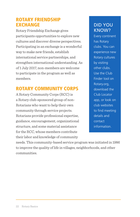#### ROTARY FRIENDSHIP **EXCHANGE**

Rotary Friendship Exchange gives participants opportunities to explore new cultures and discover diverse perspectives. Participating in an exchange is a wonderful way to make new friends, establish international service partnerships, and strengthen international understanding. As of 1 July 2017, non-members are welcome to participate in the program as well as members.

#### ROTARY COMMUNITY CORPS

A Rotary Community Corps (RCC) is a Rotary club-sponsored group of non-Rotarians who want to help their own community through service projects. Rotarians provide professional expertise, guidance, encouragement, organizational structure, and some material assistance for the RCC, whose members contribute their labor and knowledge of community

#### DID YOU KNOW?

Every continent has Rotary clubs. You can experience new Rotary cultures by visiting other clubs. Use the Club Finder tool on Rotary.org, download the Club Locator app, or look on club websites to find meeting details and contact information.

needs. This community-based service program was initiated in 1986 to improve the quality of life in villages, neighborhoods, and other communities.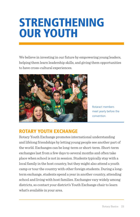### STRENGTHENING OUR YOUTH

We believe in investing in our future by empowering young leaders, helping them learn leadership skills, and giving them opportunities to have cross-cultural experiences.



Rotaract members meet yearly before the convention.

#### ROTARY YOUTH EXCHANGE

Rotary Youth Exchange promotes international understanding and lifelong friendships by letting young people see another part of the world. Exchanges can be long-term or short-term. Short-term exchanges last from a few days to several months and often take place when school is not in session. Students typically stay with a local family in the host country, but they might also attend a youth camp or tour the country with other foreign students. During a longterm exchange, students spend a year in another country, attending school and living with host families. Exchanges vary widely among districts, so contact your district's Youth Exchange chair to learn what's available in your area.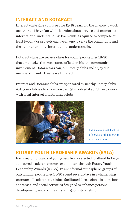#### INTERACT AND ROTARACT

Interact clubs give young people 12-18 years old the chance to work together and have fun while learning about service and promoting international understanding. Each club is required to complete at least two major projects each year, one to serve the community and the other to promote international understanding.

Rotaract clubs are service clubs for young people ages 18-30 that emphasize the importance of leadership and community involvement. Rotaractors can join Rotary clubs and enjoy dual membership until they leave Rotaract.

Interact and Rotaract clubs are sponsored by nearby Rotary clubs. Ask your club leaders how you can get involved if you'd like to work with local Interact and Rotaract clubs.



RYLA events instill values of service and leadership at an early age.

#### ROTARY YOUTH LEADERSHIP AWARDS (RYLA)

Each year, thousands of young people are selected to attend Rotarysponsored leadership camps or seminars through Rotary Youth Leadership Awards (RYLA). In an informal atmosphere, groups of outstanding people ages 14-30 spend several days in a challenging program of leadership training, facilitated discussions, inspirational addresses, and social activities designed to enhance personal development, leadership skills, and good citizenship.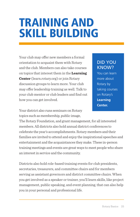### TRAINING AND SKILL BUILDING

Your club may offer new members a formal orientation to acquaint them with Rotary and the club. Members can also take courses on topics that interest them in the **[Learning](http://learn.rotary.org)  [Center](http://learn.rotary.org)** (learn.rotary.org) or join Rotary discussion groups to learn more. Your club may offer leadership training as well. Talk to your club mentor or club leaders and find out how you can get involved.

#### DID YOU KNOW?

You can learn more about Rotary by taking courses on Rotary's **[Learning](http://learn.rotary.org)  [Center.](http://learn.rotary.org)** 

Your district also runs seminars on Rotary topics such as membership, public image,

The Rotary Foundation, and grant management, for all interested members. All districts also hold annual district conferences to celebrate the year's accomplishments. Rotary members and their families are invited to attend and enjoy the inspirational speeches and entertainment and the acquaintances they make. These in-person training meetings and events are great ways to meet people who share an interest in service and the community.

Districts also hold role-based training events for club presidents, secretaries, treasurers, and committee chairs and for members serving as assistant governors and district committee chairs. When you get involved as a speaker or trainer, you'll learn skills, like project management, public speaking, and event planning, that can also help you in your personal and professional life.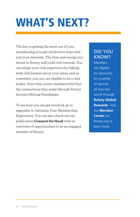# WHAT'S NEXT?

The key to getting the most out of your membership is to get involved in ways that suit your interests. The time and energy you invest in Rotary will yield rich rewards. You can shape your club experience by talking with club leaders about your ideas, and as a member, you, too, are eligible to be a club leader. Over time, active members find that the connections they make through Rotary become lifelong friendships.

To see how you can get involved, go to appendix A: Optimize Your Membership Experience. You can also check out our publication **[Connect for Good](https://my.rotary.org/en/document/connect-good)** with an overview of opportunities to be an engaged member of Rotary.

#### DID YOU KNOW?

Members are eligible for discounts on a variety of services all over the world through **[Rotary Global](https://my.rotary.org/en/member-center/rotary-global-rewards/offers) [Rewards](https://my.rotary.org/en/member-center/rotary-global-rewards/offers)**. Visit the **[Member](https://my.rotary.org/en/member-center)  [Center](https://my.rotary.org/en/member-center)** on Rotary.org to learn more.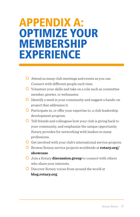# **APPENDIX A:<br>OPTIMIZE YOUR** MEMBERSHIP **EXPERIENCE**

- Attend as many club meetings and events as you can. Connect with different people each time.
- $\overline{O}$  Volunteer your skills and take on a role such as committee member, greeter, or webmaster.
- $\overline{O}$  Identify a need in your community and suggest a hands-on project that addresses it.
- $\overline{O}$  Participate in, or offer your expertise to, a club leadership development program.
- $\overline{O}$  Tell friends and colleagues how your club is giving back to your community, and emphasize the unique opportunity Rotary provides for networking with leaders in many professions.
- Get involved with your club's international service projects.
- **O** Browse Rotary service projects worldwide at **[rotary.org/](https://map.rotary.org/en/project/pages/project_showcase.aspx) [showcase](https://map.rotary.org/en/project/pages/project_showcase.aspx)**.
- Join a Rotary **[discussion group](https://my.rotary.org/en/exchange-ideas/groups)** to connect with others who share your interests.
- Discover Rotary voices from around the world at **[blog.rotary.org](http://blog.rotary.org)**.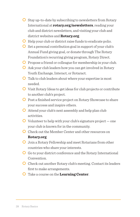- $\overline{O}$  Stay up-to-date by subscribing to newsletters from Rotary International at **[rotary.org/newsletters](http://www.rotary.org/newsletters)**, reading your club and district newsletters, and visiting your club and district websites and **[Rotary.org](https://www.rotary.org/en)**.
- $\overline{O}$  Help your club or district raise funds to eradicate polio.
- $\overline{O}$  Set a personal contribution goal in support of your club's Annual Fund giving goal, or donate through The Rotary Foundation's recurring giving program, Rotary Direct.
- $\overline{O}$  Propose a friend or colleague for membership in your club.
- Ask your club leaders how you can get involved in Rotary Youth Exchange, Interact, or Rotaract.
- $\overline{O}$  Talk to club leaders about where your expertise is most needed.
- Visit Rotary Ideas to get ideas for club projects or contribute to another club's project.
- **O** Post a finished service project on Rotary Showcase to share your success and inspire others.
- $\overline{O}$  Attend your club's next assembly and help plan club activities.
- $\overline{O}$  Volunteer to help with your club's signature project one your club is known for in the community.
- Check out the Member Center and other resources on **[Rotary.org](http://www.rotary.org/en)**.
- Join a Rotary Fellowship and meet Rotarians from other countries who share your interests.
- Go to your district conference and the Rotary International Convention.
- **O** Check out another Rotary club's meeting. Contact its leaders first to make arrangements.
- Take a course on the **[Learning Center](http://learn.rotary.org)**.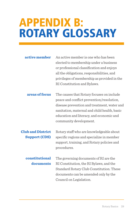### APPENDIX B: ROTARY GLOSSARY

| active member | An active member is one who has been        |
|---------------|---------------------------------------------|
|               | elected to membership under a business      |
|               | or professional classification and enjoys   |
|               | all the obligations, responsibilities, and  |
|               | privileges of membership as provided in the |
|               | RI Constitution and Bylaws.                 |

**areas of focus** The causes that Rotary focuses on include peace and conflict prevention/resolution, disease prevention and treatment, water and sanitation, maternal and child health, basic education and literacy, and economic and community development.

**Club and District Support (CDS)**  Rotary staff who are knowledgeable about specific regions and specialize in member support, training, and Rotary policies and procedures.

**constitutional documents** The governing documents of RI are the RI Constitution, the RI Bylaws, and the Standard Rotary Club Constitution. These documents can be amended only by the Council on Legislation.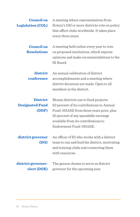| <b>Council on</b><br><b>Legislation (COL)</b>      | A meeting where representatives from<br>Rotary's 530 or more districts vote on policy<br>that affect clubs worldwide. It takes place<br>every three years.                                                                            |
|----------------------------------------------------|---------------------------------------------------------------------------------------------------------------------------------------------------------------------------------------------------------------------------------------|
| <b>Council on</b><br><b>Resolutions</b>            | A meeting held online every year to vote<br>on proposed resolutions, which express<br>opinions and make recommendations to the<br>RI Board.                                                                                           |
| district<br>conference                             | An annual celebration of district<br>accomplishments and a meeting where<br>district decisions are made. Open to all<br>members in the district.                                                                                      |
| <b>District</b><br><b>Designated Fund</b><br>(DDF) | Money districts use to fund projects:<br>50 percent of its contributions to Annual<br>Fund-SHARE from three years prior, plus<br>50 percent of any spendable earnings<br>available from its contributions to<br>Endowment Fund-SHARE. |
| district governor<br>(DG)                          | An officer of RI who works with a district<br>team to run and lead the district, motivating<br>and training clubs and connecting them<br>with resources.                                                                              |
| district governor-<br>elect (DGE)                  | The person chosen to serve as district<br>governor for the upcoming year.                                                                                                                                                             |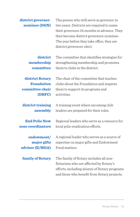**district governornominee (DGN)** The person who will serve as governor in two years. Districts are required to name their governors 24 months in advance. They then become district governors-nominee. The year before they take office, they are district governors-elect.

**district membership committee** The committee that identifies strategies for strengthening membership and promotes them to clubs in the district.

The chair of the committee that teaches clubs about the Foundation and inspires

**district Rotary Foundation committee chair (DRFC)**

**district training assembly** A training event where incoming club leaders are prepared for their roles.

them to support its programs and

activities.

**End Polio Now zone coordinators**

**endowment/ major gifts adviser (E/MGA)**

**family of Rotary**

Regional leaders who serve as a resource for local polio eradication efforts.

A regional leader who serves as a source of expertise on major gifts and Endowment Fund matters.

The family of Rotary includes all non-Rotarians who are affected by Rotary's efforts, including alumni of Rotary programs and those who benefit from Rotary projects.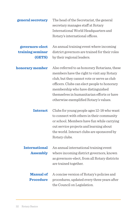| general secretary                       | The head of the Secretariat, the general<br>secretary manages staff at Rotary<br>International World Headquarters and<br>Rotary's international offices.                                                                                                                                                                |
|-----------------------------------------|-------------------------------------------------------------------------------------------------------------------------------------------------------------------------------------------------------------------------------------------------------------------------------------------------------------------------|
| governors-elect                         | An annual training event where incoming                                                                                                                                                                                                                                                                                 |
| training seminar<br>(GETS)              | district governors are trained for their roles<br>by their regional leaders.                                                                                                                                                                                                                                            |
| honorary member                         | Also referred to as honorary Rotarians, these<br>members have the right to visit any Rotary<br>club, but they cannot vote or serve as club<br>officers. Clubs can elect people to honorary<br>membership who have distinguished<br>themselves in humanitarian efforts or have<br>otherwise exemplified Rotary's values. |
| <b>Interact</b>                         | Clubs for young people ages 12-18 who want<br>to connect with others in their community<br>or school. Members have fun while carrying<br>out service projects and learning about<br>the world. Interact clubs are sponsored by<br>Rotary clubs.                                                                         |
| <b>International</b><br><b>Assembly</b> | An annual international training event<br>where incoming district governors, known<br>as governors-elect, from all Rotary districts<br>are trained together.                                                                                                                                                            |
| <b>Manual of</b><br><b>Procedure</b>    | A concise version of Rotary's policies and<br>procedures, updated every three years after<br>the Council on Legislation.                                                                                                                                                                                                |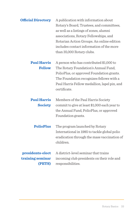| <b>Official Directory</b> | A publication with information about      |
|---------------------------|-------------------------------------------|
|                           | Rotary's Board, Trustees, and committees, |
|                           | as well as a listings of zones, alumni    |
|                           | associations, Rotary Fellowships, and     |
|                           | Rotarian Action Groups. An online edition |
|                           | includes contact information of the more  |
|                           | than 35,000 Rotary clubs.                 |

A person who has contributed \$1,000 to The Rotary Foundation's Annual Fund, PolioPlus, or approved Foundation grants. The Foundation recognizes fellows with a Paul Harris Fellow medallion, lapel pin, and certificate. **Paul Harris Fellow**

Members of the Paul Harris Society commit to give at least \$1,000 each year to the Annual Fund, PolioPlus, or approved Foundation grants. **Paul Harris Society**

The program launched by Rotary International in 1985 to tackle global polio eradication through the mass vaccination of children. **PolioPlus**

A district-level seminar that trains incoming club presidents on their role and responsibilities. **presidents-elect training seminar (PETS)**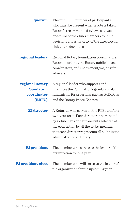| quorum                                                        | The minimum number of participants<br>who must be present when a vote is taken.<br>Rotary's recommended bylaws set it as<br>one-third of the club's members for club<br>decisions and a majority of the directors for<br>club board decisions.                        |
|---------------------------------------------------------------|-----------------------------------------------------------------------------------------------------------------------------------------------------------------------------------------------------------------------------------------------------------------------|
| regional leaders                                              | Regional Rotary Foundation coordinators,<br>Rotary coordinators, Rotary public image<br>coordinators, and endowment/major gifts<br>advisers.                                                                                                                          |
| regional Rotary<br><b>Foundation</b><br>coordinator<br>(RRFC) | A regional leader who supports and<br>promotes the Foundation's grants and its<br>fundraising for programs, such as PolioPlus<br>and the Rotary Peace Centers.                                                                                                        |
| <b>RI</b> director                                            | A Rotarian who serves on the RI Board for a<br>two-year term. Each director is nominated<br>by a club in his or her zone but is elected at<br>the convention by all the clubs, meaning<br>that each director represents all clubs in the<br>administration of Rotary. |
| <b>RI</b> president                                           | The member who serves as the leader of the<br>organization for one year.                                                                                                                                                                                              |
| <b>RI</b> president-elect                                     | The member who will serve as the leader of<br>the organization for the upcoming year.                                                                                                                                                                                 |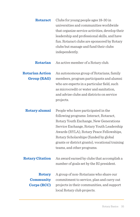| <b>Rotaract</b>                                  | Clubs for young people ages 18-30 in<br>universities and communities worldwide<br>that organize service activities, develop their<br>leadership and professional skills, and have<br>fun. Rotaract clubs are sponsored by Rotary<br>clubs but manage and fund their clubs<br>independently.                                                 |
|--------------------------------------------------|---------------------------------------------------------------------------------------------------------------------------------------------------------------------------------------------------------------------------------------------------------------------------------------------------------------------------------------------|
| Rotarian                                         | An active member of a Rotary club.                                                                                                                                                                                                                                                                                                          |
| <b>Rotarian Action</b><br><b>Group (RAG)</b>     | An autonomous group of Rotarians, family<br>members, program participants and alumni<br>who are experts in a particular field, such<br>as microcredit or water and sanitation,<br>and advise clubs and districts on service<br>projects.                                                                                                    |
| Rotary alumni                                    | People who have participated in the<br>following programs: Interact, Rotaract,<br>Rotary Youth Exchange, New Generations<br>Service Exchange, Rotary Youth Leadership<br>Awards (RYLA), Rotary Peace Fellowships,<br>Rotary Scholarships (funded by global<br>grants or district grants), vocational training<br>teams, and other programs. |
| <b>Rotary Citation</b>                           | An award earned by clubs that accomplish a<br>number of goals set by the RI president.                                                                                                                                                                                                                                                      |
| Rotary<br><b>Community</b><br><b>Corps (RCC)</b> | A group of non-Rotarians who share our<br>commitment to service, plan and carry out<br>projects in their communities, and support<br>local Rotary club projects.                                                                                                                                                                            |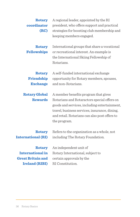| Rotary<br>coordinator<br>(RC)                  | A regional leader, appointed by the RI<br>president, who offers support and practical<br>strategies for boosting club membership and<br>keeping members engaged.                                                                                      |
|------------------------------------------------|-------------------------------------------------------------------------------------------------------------------------------------------------------------------------------------------------------------------------------------------------------|
| <b>Rotary</b><br><b>Fellowships</b>            | International groups that share a vocational<br>or recreational interest. An example is<br>the International Skiing Fellowship of<br>Rotarians.                                                                                                       |
| <b>Rotary</b><br>Friendship<br><b>Exchange</b> | A self-funded international exchange<br>opportunity for Rotary members, spouses,<br>and non-Rotarians.                                                                                                                                                |
| <b>Rotary Global</b><br><b>Rewards</b>         | A member benefits program that gives<br>Rotarians and Rotaractors special offers on<br>goods and services, including entertainment,<br>travel, business services, insurance, dining,<br>and retail. Rotarians can also post offers to<br>the program. |
| Rotary<br><b>International (RI)</b>            | Refers to the organization as a whole, not<br>including The Rotary Foundation.                                                                                                                                                                        |
| Rotary                                         | An independent unit of                                                                                                                                                                                                                                |
| International in                               | Rotary International, subject to                                                                                                                                                                                                                      |
| <b>Great Britain and</b>                       | certain approvals by the                                                                                                                                                                                                                              |
| <b>Ireland (RIBI)</b>                          | RI Constitution.                                                                                                                                                                                                                                      |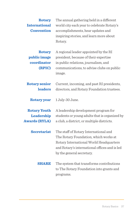| <b>Rotary</b><br><b>International</b><br><b>Convention</b> | The annual gathering held in a different<br>world city each year to celebrate Rotary's<br>accomplishments, hear updates and<br>inspiring stories, and learn more about<br>Rotary.                       |
|------------------------------------------------------------|---------------------------------------------------------------------------------------------------------------------------------------------------------------------------------------------------------|
| <b>Rotary</b><br>public image<br>coordinator<br>(RPIC)     | A regional leader appointed by the RI<br>president, because of their expertise<br>in public relations, journalism, and<br>communications, to advise clubs on public<br>image.                           |
| <b>Rotary senior</b><br><b>leaders</b>                     | Current, incoming, and past RI presidents,<br>directors, and Rotary Foundation trustees.                                                                                                                |
| <b>Rotary year</b>                                         | 1 July-30 June.                                                                                                                                                                                         |
| <b>Rotary Youth</b><br>Leadership<br><b>Awards (RYLA)</b>  | A leadership development program for<br>students or young adults that is organized by<br>a club, a district, or multiple districts.                                                                     |
| <b>Secretariat</b>                                         | The staff of Rotary International and<br>The Rotary Foundation, which works at<br>Rotary International World Headquarters<br>and Rotary's international offices and is led<br>by the general secretary. |
| <b>SHARE</b>                                               | The system that transforms contributions<br>to The Rotary Foundation into grants and<br>programs.                                                                                                       |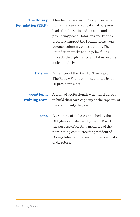| <b>The Rotary</b>       | The charitable arm of Rotary, created for      |
|-------------------------|------------------------------------------------|
| <b>Foundation (TRF)</b> | humanitarian and educational purposes,         |
|                         | leads the charge in ending polio and           |
|                         | promoting peace. Rotarians and friends         |
|                         | of Rotary support the Foundation's work        |
|                         | through voluntary contributions. The           |
|                         | Foundation works to end polio, funds           |
|                         | projects through grants, and takes on other    |
|                         | global initiatives.                            |
| trustee                 | A member of the Board of Trustees of           |
|                         | The Rotary Foundation, appointed by the        |
|                         | RI president-elect.                            |
| vocational              | A team of professionals who travel abroad      |
| training team           | to build their own capacity or the capacity of |
|                         | the community they visit.                      |
| zone                    | A grouping of clubs, established by the        |
|                         | RI Bylaws and defined by the RI Board, for     |
|                         | the purpose of electing members of the         |
|                         | nominating committee for president of          |
|                         | Rotary International and for the nomination    |
|                         | of directors.                                  |